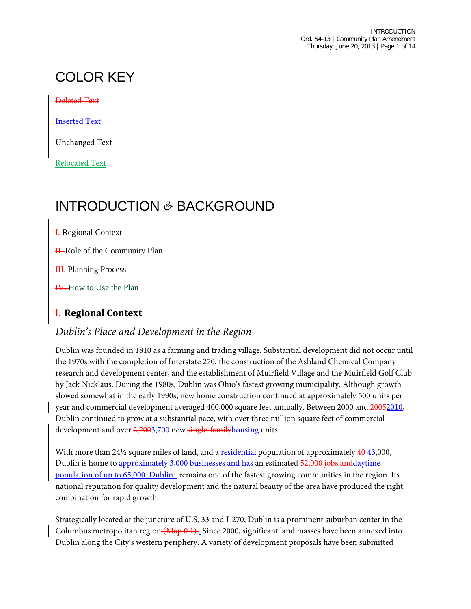# COLOR KEY

Deleted Text

Inserted Text

Unchanged Text

Relocated Text

# INTRODUCTION *&* BACKGROUND

**I.** Regional Context

H. Role of the Community Plan

**III.** Planning Process

**IV.** How to Use the Plan

#### I. **Regional Context**

#### *Dublin's Place and Development in the Region*

Dublin was founded in 1810 as a farming and trading village. Substantial development did not occur until the 1970s with the completion of Interstate 270, the construction of the Ashland Chemical Company research and development center, and the establishment of Muirfield Village and the Muirfield Golf Club by Jack Nicklaus. During the 1980s, Dublin was Ohio's fastest growing municipality. Although growth slowed somewhat in the early 1990s, new home construction continued at approximately 500 units per year and commercial development averaged 400,000 square feet annually. Between 2000 and 20052010, Dublin continued to grow at a substantial pace, with over three million square feet of commercial development and over 2,2003,700 new single-family housing units.

With more than  $24\frac{1}{2}$  square miles of land, and a <u>residential</u> population of approximately  $40\frac{43}{2000}$ , Dublin is home to approximately 3,000 businesses and has an estimated 52,000 jobs and daytime population of up to 65,000. Dublin remains one of the fastest growing communities in the region. Its national reputation for quality development and the natural beauty of the area have produced the right combination for rapid growth.

Strategically located at the juncture of U.S. 33 and I-270, Dublin is a prominent suburban center in the Columbus metropolitan region (Map 0.1). Since 2000, significant land masses have been annexed into Dublin along the City's western periphery. A variety of development proposals have been submitted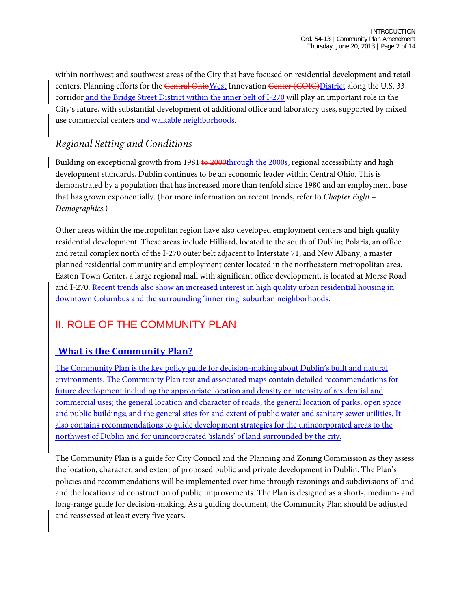within northwest and southwest areas of the City that have focused on residential development and retail centers. Planning efforts for the Central OhioWest Innovation Center (COIC) District along the U.S. 33 corridor and the Bridge Street District within the inner belt of I-270 will play an important role in the City's future, with substantial development of additional office and laboratory uses, supported by mixed use commercial centers and walkable neighborhoods.

## *Regional Setting and Conditions*

Building on exceptional growth from 1981 to  $2000$ through the 2000s, regional accessibility and high development standards, Dublin continues to be an economic leader within Central Ohio. This is demonstrated by a population that has increased more than tenfold since 1980 and an employment base that has grown exponentially. (For more information on recent trends, refer to *Chapter Eight – Demographics.*)

Other areas within the metropolitan region have also developed employment centers and high quality residential development. These areas include Hilliard, located to the south of Dublin; Polaris, an office and retail complex north of the I-270 outer belt adjacent to Interstate 71; and New Albany, a master planned residential community and employment center located in the northeastern metropolitan area. Easton Town Center, a large regional mall with significant office development, is located at Morse Road and I-270. Recent trends also show an increased interest in high quality urban residential housing in downtown Columbus and the surrounding 'inner ring' suburban neighborhoods.

## II. ROLE OF THE COMMUNITY PLAN

## **What is the Community Plan?**

The Community Plan is the key policy guide for decision-making about Dublin's built and natural environments. The Community Plan text and associated maps contain detailed recommendations for future development including the appropriate location and density or intensity of residential and commercial uses; the general location and character of roads; the general location of parks, open space and public buildings; and the general sites for and extent of public water and sanitary sewer utilities. It also contains recommendations to guide development strategies for the unincorporated areas to the northwest of Dublin and for unincorporated 'islands' of land surrounded by the city.

The Community Plan is a guide for City Council and the Planning and Zoning Commission as they assess the location, character, and extent of proposed public and private development in Dublin. The Plan's policies and recommendations will be implemented over time through rezonings and subdivisions of land and the location and construction of public improvements. The Plan is designed as a short-, medium- and long-range guide for decision-making. As a guiding document, the Community Plan should be adjusted and reassessed at least every five years.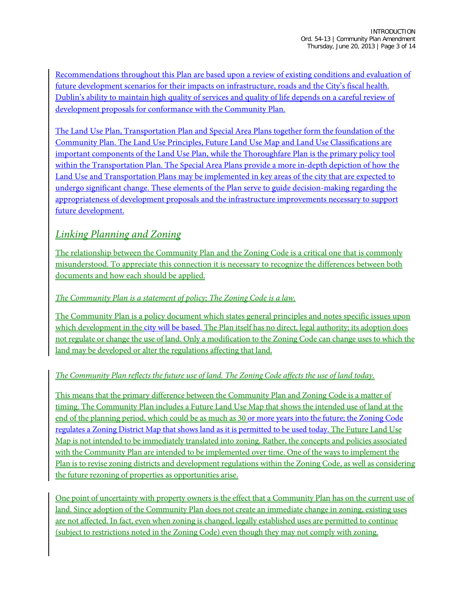Recommendations throughout this Plan are based upon a review of existing conditions and evaluation of future development scenarios for their impacts on infrastructure, roads and the City's fiscal health. Dublin's ability to maintain high quality of services and quality of life depends on a careful review of development proposals for conformance with the Community Plan.

The Land Use Plan, Transportation Plan and Special Area Plans together form the foundation of the Community Plan. The Land Use Principles, Future Land Use Map and Land Use Classifications are important components of the Land Use Plan, while the Thoroughfare Plan is the primary policy tool within the Transportation Plan. The Special Area Plans provide a more in-depth depiction of how the Land Use and Transportation Plans may be implemented in key areas of the city that are expected to undergo significant change. These elements of the Plan serve to guide decision-making regarding the appropriateness of development proposals and the infrastructure improvements necessary to support future development.

#### *Linking Planning and Zoning*

The relationship between the Community Plan and the Zoning Code is a critical one that is commonly misunderstood. To appreciate this connection it is necessary to recognize the differences between both documents and how each should be applied.

#### *The Community Plan is a statement of policy; The Zoning Code is a law.*

The Community Plan is a policy document which states general principles and notes specific issues upon which development in the city will be based. The Plan itself has no direct, legal authority; its adoption does not regulate or change the use of land. Only a modification to the Zoning Code can change uses to which the land may be developed or alter the regulations affecting that land.

#### *The Community Plan reflects the future use of land. The Zoning Code affects the use of land today.*

This means that the primary difference between the Community Plan and Zoning Code is a matter of timing. The Community Plan includes a Future Land Use Map that shows the intended use of land at the end of the planning period, which could be as much as 30 or more years into the future; the Zoning Code regulates a Zoning District Map that shows land as it is permitted to be used today. The Future Land Use Map is not intended to be immediately translated into zoning. Rather, the concepts and policies associated with the Community Plan are intended to be implemented over time. One of the ways to implement the Plan is to revise zoning districts and development regulations within the Zoning Code, as well as considering the future rezoning of properties as opportunities arise.

One point of uncertainty with property owners is the effect that a Community Plan has on the current use of land. Since adoption of the Community Plan does not create an immediate change in zoning, existing uses are not affected. In fact, even when zoning is changed, legally established uses are permitted to continue (subject to restrictions noted in the Zoning Code) even though they may not comply with zoning.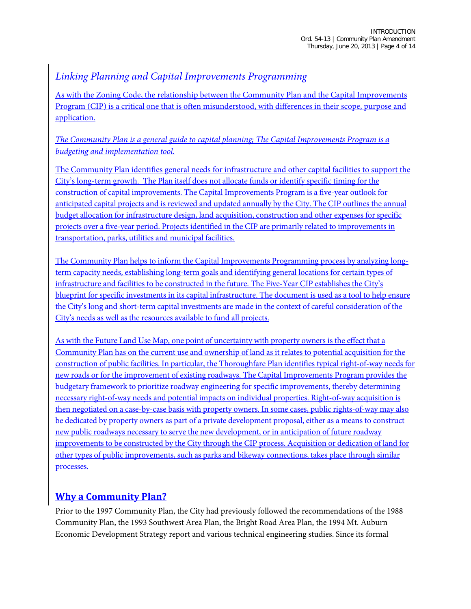#### *Linking Planning and Capital Improvements Programming*

As with the Zoning Code, the relationship between the Community Plan and the Capital Improvements Program (CIP) is a critical one that is often misunderstood, with differences in their scope, purpose and application.

#### *The Community Plan is a general guide to capital planning; The Capital Improvements Program is a budgeting and implementation tool.*

The Community Plan identifies general needs for infrastructure and other capital facilities to support the City's long-term growth. The Plan itself does not allocate funds or identify specific timing for the construction of capital improvements. The Capital Improvements Program is a five-year outlook for anticipated capital projects and is reviewed and updated annually by the City. The CIP outlines the annual budget allocation for infrastructure design, land acquisition, construction and other expenses for specific projects over a five-year period. Projects identified in the CIP are primarily related to improvements in transportation, parks, utilities and municipal facilities.

The Community Plan helps to inform the Capital Improvements Programming process by analyzing longterm capacity needs, establishing long-term goals and identifying general locations for certain types of infrastructure and facilities to be constructed in the future. The Five-Year CIP establishes the City's blueprint for specific investments in its capital infrastructure. The document is used as a tool to help ensure the City's long and short-term capital investments are made in the context of careful consideration of the City's needs as well as the resources available to fund all projects.

As with the Future Land Use Map, one point of uncertainty with property owners is the effect that a Community Plan has on the current use and ownership of land as it relates to potential acquisition for the construction of public facilities. In particular, the Thoroughfare Plan identifies typical right-of-way needs for new roads or for the improvement of existing roadways. The Capital Improvements Program provides the budgetary framework to prioritize roadway engineering for specific improvements, thereby determining necessary right-of-way needs and potential impacts on individual properties. Right-of-way acquisition is then negotiated on a case-by-case basis with property owners. In some cases, public rights-of-way may also be dedicated by property owners as part of a private development proposal, either as a means to construct new public roadways necessary to serve the new development, or in anticipation of future roadway improvements to be constructed by the City through the CIP process. Acquisition or dedication of land for other types of public improvements, such as parks and bikeway connections, takes place through similar processes.

## **Why a Community Plan?**

Prior to the 1997 Community Plan, the City had previously followed the recommendations of the 1988 Community Plan, the 1993 Southwest Area Plan, the Bright Road Area Plan, the 1994 Mt. Auburn Economic Development Strategy report and various technical engineering studies. Since its formal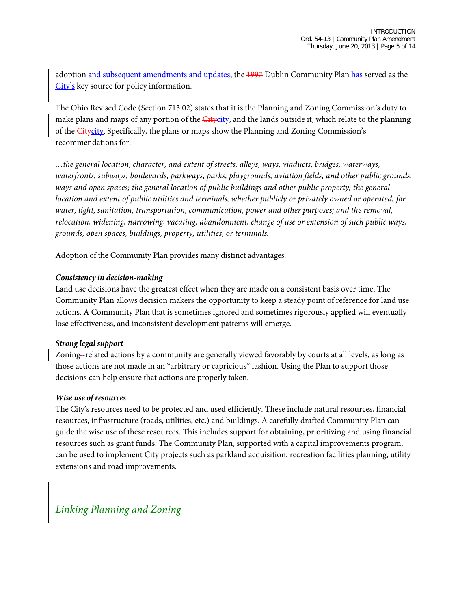adoption and subsequent amendments and updates, the 4997 Dublin Community Plan has served as the City's key source for policy information.

The Ohio Revised Code (Section 713.02) states that it is the Planning and Zoning Commission's duty to make plans and maps of any portion of the Gitycity, and the lands outside it, which relate to the planning of the **Citycity**. Specifically, the plans or maps show the Planning and Zoning Commission's recommendations for:

*…the general location, character, and extent of streets, alleys, ways, viaducts, bridges, waterways, waterfronts, subways, boulevards, parkways, parks, playgrounds, aviation fields, and other public grounds,*  ways and open spaces; the general location of public buildings and other public property; the general *location and extent of public utilities and terminals, whether publicly or privately owned or operated, for water, light, sanitation, transportation, communication, power and other purposes; and the removal, relocation, widening, narrowing, vacating, abandonment, change of use or extension of such public ways, grounds, open spaces, buildings, property, utilities, or terminals.*

Adoption of the Community Plan provides many distinct advantages:

#### *Consistency in decision-making*

Land use decisions have the greatest effect when they are made on a consistent basis over time. The Community Plan allows decision makers the opportunity to keep a steady point of reference for land use actions. A Community Plan that is sometimes ignored and sometimes rigorously applied will eventually lose effectiveness, and inconsistent development patterns will emerge.

#### *Strong legal support*

Zoning--related actions by a community are generally viewed favorably by courts at all levels, as long as those actions are not made in an "arbitrary or capricious" fashion. Using the Plan to support those decisions can help ensure that actions are properly taken.

#### *Wise use of resources*

The City's resources need to be protected and used efficiently. These include natural resources, financial resources, infrastructure (roads, utilities, etc.) and buildings. A carefully drafted Community Plan can guide the wise use of these resources. This includes support for obtaining, prioritizing and using financial resources such as grant funds. The Community Plan, supported with a capital improvements program, can be used to implement City projects such as parkland acquisition, recreation facilities planning, utility extensions and road improvements.

*Linking Planning and Zoning*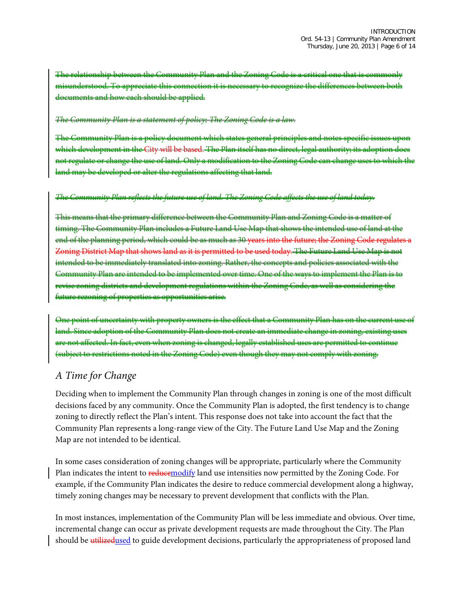The relationship between the Community Plan and the Zoning Code is a critical one that is commonly misunderstood. To appreciate this connection it is necessary to recognize the differences between both documents and how each should be applied.

#### *The Community Plan is a statement of policy; The Zoning Code is a law.*

The Community Plan is a policy document which states general principles and notes specific issues upon which development in the City will be based. The Plan itself has no direct, legal authority; its adoption not regulate or change the use of land. Only a modification to the Zoning Code can change land may be developed or alter the regulations affecting that land.

#### *The Community Plan reflects the future use of land. The Zoning Code affects the use of land today.*

This means that the primary difference between the Community Plan and Zoning Code is a matter of timing. The Community Plan includes a Future Land Use Map that shows the intended use of land at the end of the planning period, which could be as much as 30 years into the future; the Zoning Code regulates a Zoning District Map that shows land as it is permitted to be used today. The Future Land Use Map is not intended to be immediately translated into zoning. Rather, the concepts and policies associated with the Community Plan are intended to be implemented over time. One of the ways to implement the Plan is to revise zoning districts and development regulations within the Zoning Code, as well as considering the future rezoning of properties as opportunities arise.

One point of uncertainty with property owners is the effect that a Community Plan has on the current use of land. Since adoption of the Community Plan does not create an immediate change in zoning, existing uses are not affected. In fact, even when zoning is changed, legally established uses are permitted to continue (subject to restrictions noted in the Zoning Code) even though they may not comply with zoning.

#### *A Time for Change*

Deciding when to implement the Community Plan through changes in zoning is one of the most difficult decisions faced by any community. Once the Community Plan is adopted, the first tendency is to change zoning to directly reflect the Plan's intent. This response does not take into account the fact that the Community Plan represents a long-range view of the City. The Future Land Use Map and the Zoning Map are not intended to be identical.

In some cases consideration of zoning changes will be appropriate, particularly where the Community Plan indicates the intent to reducemodify land use intensities now permitted by the Zoning Code. For example, if the Community Plan indicates the desire to reduce commercial development along a highway, timely zoning changes may be necessary to prevent development that conflicts with the Plan.

In most instances, implementation of the Community Plan will be less immediate and obvious. Over time, incremental change can occur as private development requests are made throughout the City. The Plan should be utilizedused to guide development decisions, particularly the appropriateness of proposed land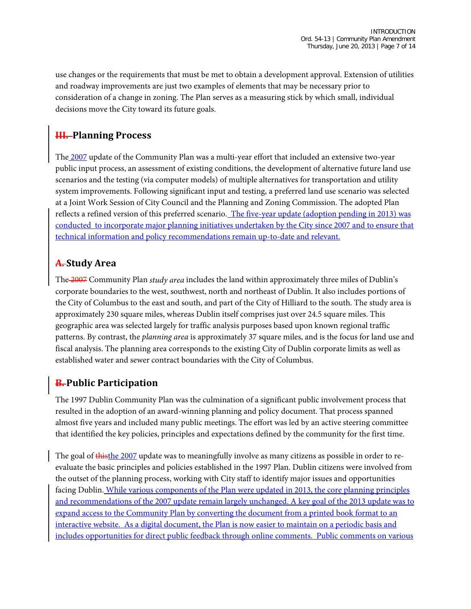use changes or the requirements that must be met to obtain a development approval. Extension of utilities and roadway improvements are just two examples of elements that may be necessary prior to consideration of a change in zoning. The Plan serves as a measuring stick by which small, individual decisions move the City toward its future goals.

#### **III. Planning Process**

The 2007 update of the Community Plan was a multi-year effort that included an extensive two-year public input process, an assessment of existing conditions, the development of alternative future land use scenarios and the testing (via computer models) of multiple alternatives for transportation and utility system improvements. Following significant input and testing, a preferred land use scenario was selected at a Joint Work Session of City Council and the Planning and Zoning Commission. The adopted Plan reflects a refined version of this preferred scenario. The five-year update (adoption pending in 2013) was conducted to incorporate major planning initiatives undertaken by the City since 2007 and to ensure that technical information and policy recommendations remain up-to-date and relevant.

#### **A. Study Area**

The 2007 Community Plan *study area* includes the land within approximately three miles of Dublin's corporate boundaries to the west, southwest, north and northeast of Dublin. It also includes portions of the City of Columbus to the east and south, and part of the City of Hilliard to the south. The study area is approximately 230 square miles, whereas Dublin itself comprises just over 24.5 square miles. This geographic area was selected largely for traffic analysis purposes based upon known regional traffic patterns. By contrast, the *planning area* is approximately 37 square miles, and is the focus for land use and fiscal analysis. The planning area corresponds to the existing City of Dublin corporate limits as well as established water and sewer contract boundaries with the City of Columbus.

#### **B. Public Participation**

The 1997 Dublin Community Plan was the culmination of a significant public involvement process that resulted in the adoption of an award-winning planning and policy document. That process spanned almost five years and included many public meetings. The effort was led by an active steering committee that identified the key policies, principles and expectations defined by the community for the first time.

The goal of thisthe 2007 update was to meaningfully involve as many citizens as possible in order to reevaluate the basic principles and policies established in the 1997 Plan. Dublin citizens were involved from the outset of the planning process, working with City staff to identify major issues and opportunities facing Dublin. While various components of the Plan were updated in 2013, the core planning principles and recommendations of the 2007 update remain largely unchanged. A key goal of the 2013 update was to expand access to the Community Plan by converting the document from a printed book format to an interactive website. As a digital document, the Plan is now easier to maintain on a periodic basis and includes opportunities for direct public feedback through online comments. Public comments on various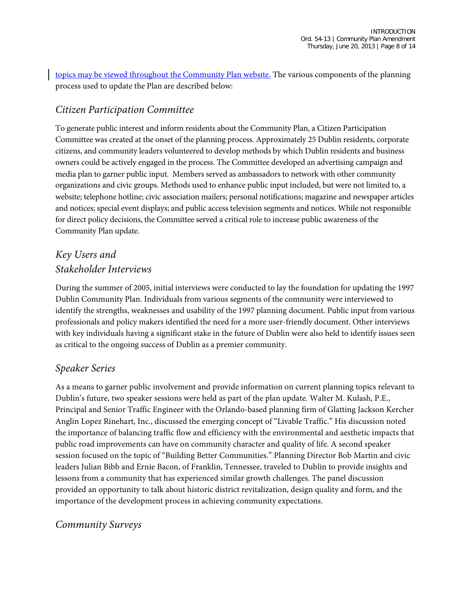topics may be viewed throughout the Community Plan website. The various components of the planning process used to update the Plan are described below:

#### *Citizen Participation Committee*

To generate public interest and inform residents about the Community Plan, a Citizen Participation Committee was created at the onset of the planning process. Approximately 25 Dublin residents, corporate citizens, and community leaders volunteered to develop methods by which Dublin residents and business owners could be actively engaged in the process. The Committee developed an advertising campaign and media plan to garner public input. Members served as ambassadors to network with other community organizations and civic groups. Methods used to enhance public input included, but were not limited to, a website; telephone hotline; civic association mailers; personal notifications; magazine and newspaper articles and notices; special event displays; and public access television segments and notices. While not responsible for direct policy decisions, the Committee served a critical role to increase public awareness of the Community Plan update.

## *Key Users and Stakeholder Interviews*

During the summer of 2005, initial interviews were conducted to lay the foundation for updating the 1997 Dublin Community Plan. Individuals from various segments of the community were interviewed to identify the strengths, weaknesses and usability of the 1997 planning document. Public input from various professionals and policy makers identified the need for a more user-friendly document. Other interviews with key individuals having a significant stake in the future of Dublin were also held to identify issues seen as critical to the ongoing success of Dublin as a premier community.

#### *Speaker Series*

As a means to garner public involvement and provide information on current planning topics relevant to Dublin's future, two speaker sessions were held as part of the plan update. Walter M. Kulash, P.E., Principal and Senior Traffic Engineer with the Orlando-based planning firm of Glatting Jackson Kercher Anglin Lopez Rinehart, Inc., discussed the emerging concept of "Livable Traffic." His discussion noted the importance of balancing traffic flow and efficiency with the environmental and aesthetic impacts that public road improvements can have on community character and quality of life. A second speaker session focused on the topic of "Building Better Communities." Planning Director Bob Martin and civic leaders Julian Bibb and Ernie Bacon, of Franklin, Tennessee, traveled to Dublin to provide insights and lessons from a community that has experienced similar growth challenges. The panel discussion provided an opportunity to talk about historic district revitalization, design quality and form, and the importance of the development process in achieving community expectations.

#### *Community Surveys*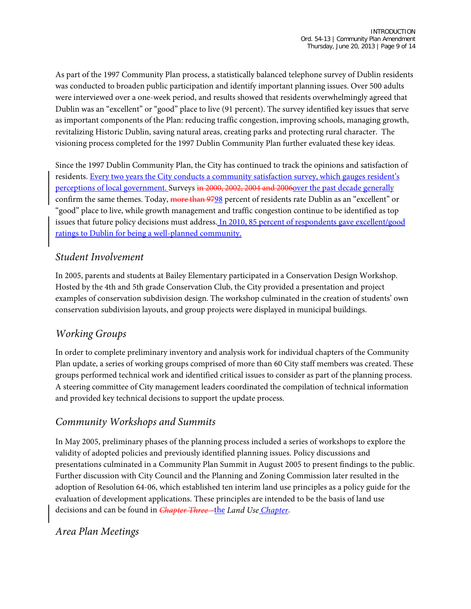As part of the 1997 Community Plan process, a statistically balanced telephone survey of Dublin residents was conducted to broaden public participation and identify important planning issues. Over 500 adults were interviewed over a one-week period, and results showed that residents overwhelmingly agreed that Dublin was an "excellent" or "good" place to live (91 percent). The survey identified key issues that serve as important components of the Plan: reducing traffic congestion, improving schools, managing growth, revitalizing Historic Dublin, saving natural areas, creating parks and protecting rural character. The visioning process completed for the 1997 Dublin Community Plan further evaluated these key ideas.

Since the 1997 Dublin Community Plan, the City has continued to track the opinions and satisfaction of residents. Every two years the City conducts a [community satisfaction survey,](http://dublinohiousa.gov/living/city-surveys/) which gauges resident's perceptions of local government. Surveys in 2000, 2002, 2004 and 2006over the past decade generally confirm the same themes. Today, more than 9798 percent of residents rate Dublin as an "excellent" or "good" place to live, while growth management and traffic congestion continue to be identified as top issues that future policy decisions must address. In 2010, 85 percent of respondents gave excellent/good ratings to Dublin for being a well-planned community.

#### *Student Involvement*

In 2005, parents and students at Bailey Elementary participated in a Conservation Design Workshop. Hosted by the 4th and 5th grade Conservation Club, the City provided a presentation and project examples of conservation subdivision design. The workshop culminated in the creation of students' own conservation subdivision layouts, and group projects were displayed in municipal buildings.

#### *Working Groups*

In order to complete preliminary inventory and analysis work for individual chapters of the Community Plan update, a series of working groups comprised of more than 60 City staff members was created. These groups performed technical work and identified critical issues to consider as part of the planning process. A steering committee of City management leaders coordinated the compilation of technical information and provided key technical decisions to support the update process.

#### *Community Workshops and Summits*

In May 2005, preliminary phases of the planning process included a series of workshops to explore the validity of adopted policies and previously identified planning issues. Policy discussions and presentations culminated in a Community Plan Summit in August 2005 to present findings to the public. Further discussion with City Council and the Planning and Zoning Commission later resulted in the adoption of Resolution 64-06, which established ten interim land use principles as a policy guide for the evaluation of development applications. These principles are intended to be the basis of land use decisions and can be found in *Chapter Three –*the *Land Use Chapter*.

#### *Area Plan Meetings*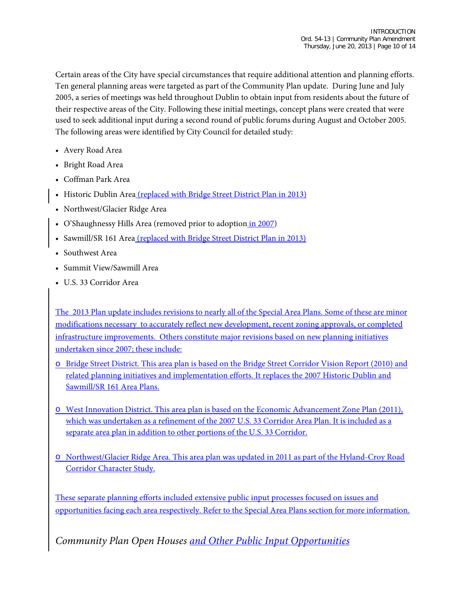Certain areas of the City have special circumstances that require additional attention and planning efforts. Ten general planning areas were targeted as part of the Community Plan update. During June and July 2005, a series of meetings was held throughout Dublin to obtain input from residents about the future of their respective areas of the City. Following these initial meetings, concept plans were created that were used to seek additional input during a second round of public forums during August and October 2005. The following areas were identified by City Council for detailed study:

- Avery Road Area
- Bright Road Area
- Coffman Park Area
- Historic Dublin Area (replaced with Bridge Street District Plan in 2013)
- Northwest/Glacier Ridge Area
- O'Shaughnessy Hills Area (removed prior to adoption in 2007)
- Sawmill/SR 161 Area (replaced with Bridge Street District Plan in 2013)
- Southwest Area
- Summit View/Sawmill Area
- U.S. 33 Corridor Area

The 2013 Plan update includes revisions to nearly all of the Special Area Plans. Some of these are minor modifications necessary to accurately reflect new development, recent zoning approvals, or completed infrastructure improvements. Others constitute major revisions based on new planning initiatives undertaken since 2007; these include:

- o Bridge Street District. This area plan is based on the Bridge Street Corridor Vision Report (2010) and related planning initiatives and implementation efforts. It replaces the 2007 Historic Dublin and Sawmill/SR 161 Area Plans.
- o West Innovation District. This area plan is based on the Economic Advancement Zone Plan (2011), which was undertaken as a refinement of the 2007 U.S. 33 Corridor Area Plan. It is included as a separate area plan in addition to other portions of the U.S. 33 Corridor.
- o Northwest/Glacier Ridge Area. This area plan was updated in 2011 as part of the Hyland-Croy Road Corridor Character Study.

These separate planning efforts included extensive public input processes focused on issues and opportunities facing each area respectively. Refer to the Special Area Plans section for more information.

*Community Plan Open Houses and Other Public Input Opportunities*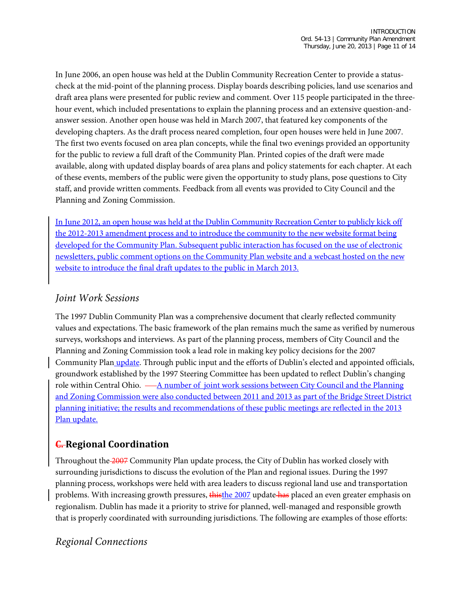In June 2006, an open house was held at the Dublin Community Recreation Center to provide a statuscheck at the mid-point of the planning process. Display boards describing policies, land use scenarios and draft area plans were presented for public review and comment. Over 115 people participated in the threehour event, which included presentations to explain the planning process and an extensive question-andanswer session. Another open house was held in March 2007, that featured key components of the developing chapters. As the draft process neared completion, four open houses were held in June 2007. The first two events focused on area plan concepts, while the final two evenings provided an opportunity for the public to review a full draft of the Community Plan. Printed copies of the draft were made available, along with updated display boards of area plans and policy statements for each chapter. At each of these events, members of the public were given the opportunity to study plans, pose questions to City staff, and provide written comments. Feedback from all events was provided to City Council and the Planning and Zoning Commission.

In June 2012, an open house was held at the Dublin Community Recreation Center to publicly kick off the 2012-2013 amendment process and to introduce the community to the new website format being developed for the Community Plan. Subsequent public interaction has focused on the use of electronic newsletters, public comment options on the Community Plan website and a webcast hosted on the new website to introduce the final draft updates to the public in March 2013.

#### *Joint Work Sessions*

The 1997 Dublin Community Plan was a comprehensive document that clearly reflected community values and expectations. The basic framework of the plan remains much the same as verified by numerous surveys, workshops and interviews. As part of the planning process, members of City Council and the Planning and Zoning Commission took a lead role in making key policy decisions for the 2007 Community Plan update. Through public input and the efforts of Dublin's elected and appointed officials, groundwork established by the 1997 Steering Committee has been updated to reflect Dublin's changing role within Central Ohio.  $-\underline{A}$  number of joint work sessions between City Council and the Planning and Zoning Commission were also conducted between 2011 and 2013 as part of the Bridge Street District planning initiative; the results and recommendations of these public meetings are reflected in the 2013 Plan update.

#### **C. Regional Coordination**

Throughout the 2007 Community Plan update process, the City of Dublin has worked closely with surrounding jurisdictions to discuss the evolution of the Plan and regional issues. During the 1997 planning process, workshops were held with area leaders to discuss regional land use and transportation problems. With increasing growth pressures, thisthe 2007 update has placed an even greater emphasis on regionalism. Dublin has made it a priority to strive for planned, well-managed and responsible growth that is properly coordinated with surrounding jurisdictions. The following are examples of those efforts:

#### *Regional Connections*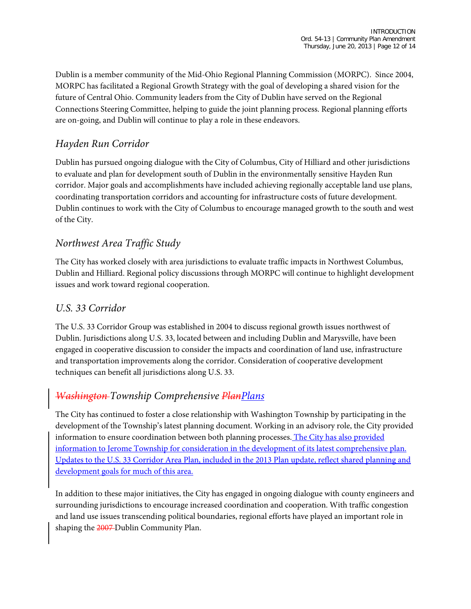Dublin is a member community of the Mid-Ohio Regional Planning Commission (MORPC). Since 2004, MORPC has facilitated a Regional Growth Strategy with the goal of developing a shared vision for the future of Central Ohio. Community leaders from the City of Dublin have served on the Regional Connections Steering Committee, helping to guide the joint planning process. Regional planning efforts are on-going, and Dublin will continue to play a role in these endeavors.

## *Hayden Run Corridor*

Dublin has pursued ongoing dialogue with the City of Columbus, City of Hilliard and other jurisdictions to evaluate and plan for development south of Dublin in the environmentally sensitive Hayden Run corridor. Major goals and accomplishments have included achieving regionally acceptable land use plans, coordinating transportation corridors and accounting for infrastructure costs of future development. Dublin continues to work with the City of Columbus to encourage managed growth to the south and west of the City.

#### *Northwest Area Traffic Study*

The City has worked closely with area jurisdictions to evaluate traffic impacts in Northwest Columbus, Dublin and Hilliard. Regional policy discussions through MORPC will continue to highlight development issues and work toward regional cooperation.

#### *U.S. 33 Corridor*

The U.S. 33 Corridor Group was established in 2004 to discuss regional growth issues northwest of Dublin. Jurisdictions along U.S. 33, located between and including Dublin and Marysville, have been engaged in cooperative discussion to consider the impacts and coordination of land use, infrastructure and transportation improvements along the corridor. Consideration of cooperative development techniques can benefit all jurisdictions along U.S. 33.

## *Washington Township Comprehensive PlanPlans*

The City has continued to foster a close relationship with Washington Township by participating in the development of the Township's latest planning document. Working in an advisory role, the City provided information to ensure coordination between both planning processes. The City has also provided information to Jerome Township for consideration in the development of its latest comprehensive plan. Updates to the U.S. 33 Corridor Area Plan, included in the 2013 Plan update, reflect shared planning and development goals for much of this area.

In addition to these major initiatives, the City has engaged in ongoing dialogue with county engineers and surrounding jurisdictions to encourage increased coordination and cooperation. With traffic congestion and land use issues transcending political boundaries, regional efforts have played an important role in shaping the 2007-Dublin Community Plan.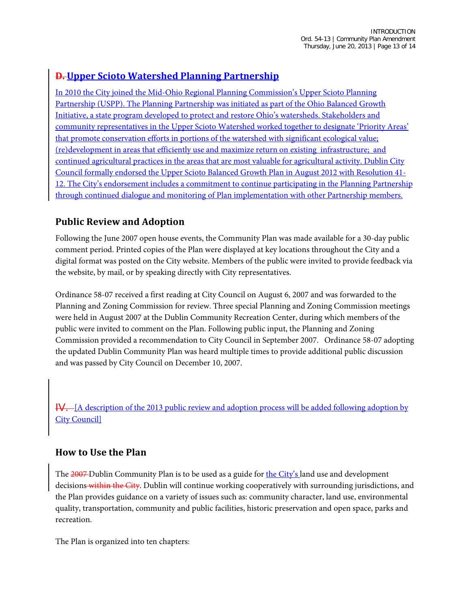#### **D. Upper Scioto Watershed Planning Partnership**

In 2010 the City joined the Mid-Ohio Regional Planning Commission's Upper Scioto Planning Partnership (USPP). The Planning Partnership was initiated as part of the Ohio Balanced Growth Initiative, a state program developed to protect and restore Ohio's watersheds. Stakeholders and community representatives in the Upper Scioto Watershed worked together to designate 'Priority Areas' that promote conservation efforts in portions of the watershed with significant ecological value; (re)development in areas that efficiently use and maximize return on existing infrastructure; and continued agricultural practices in the areas that are most valuable for agricultural activity. Dublin City Council formally endorsed the Upper Scioto Balanced Growth Plan in August 2012 with Resolution 41- 12. The City's endorsement includes a commitment to continue participating in the Planning Partnership through continued dialogue and monitoring of Plan implementation with other Partnership members.

#### **Public Review and Adoption**

Following the June 2007 open house events, the Community Plan was made available for a 30-day public comment period. Printed copies of the Plan were displayed at key locations throughout the City and a digital format was posted on the City website. Members of the public were invited to provide feedback via the website, by mail, or by speaking directly with City representatives.

Ordinance 58-07 received a first reading at City Council on August 6, 2007 and was forwarded to the Planning and Zoning Commission for review. Three special Planning and Zoning Commission meetings were held in August 2007 at the Dublin Community Recreation Center, during which members of the public were invited to comment on the Plan. Following public input, the Planning and Zoning Commission provided a recommendation to City Council in September 2007. Ordinance 58-07 adopting the updated Dublin Community Plan was heard multiple times to provide additional public discussion and was passed by City Council on December 10, 2007.

IV. [A description of the 2013 public review and adoption process will be added following adoption by **City Council** 

#### **How to Use the Plan**

The 2007 Dublin Community Plan is to be used as a guide for the City's land use and development decisions within the City. Dublin will continue working cooperatively with surrounding jurisdictions, and the Plan provides guidance on a variety of issues such as: community character, land use, environmental quality, transportation, community and public facilities, historic preservation and open space, parks and recreation.

The Plan is organized into ten chapters: